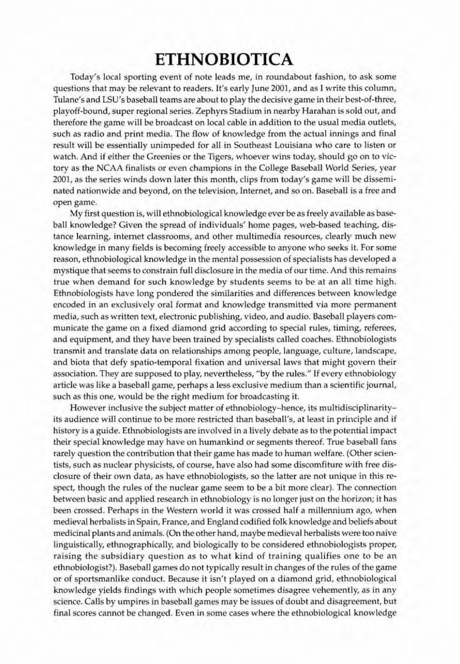## ETHNOBIOTICA

Taday's local sporting event of note leads me, in roundabout fashion, to ask some questions that may be relevant to readers. It's early June 2001, and as I write this column, Tulane's and LSU's baseball teams are about to play the decisive game in their best-of-three, playoff-bound, super regional series. Zephyrs Stadium in nearby Harahan is sold out. and therefore the game will be broadcast on local cable in addition to the usual media outlets, such as radio and print media. The flow of knowledge from the actual innings and final result will be essentially unimpeded for all in Southeast Louisiana who *care* to listen or watch. And if either the Greenies or the Tigers, whoever wins today, should go on to victory as Ihe NCAA finalists or even champions in the College Baseball World Series, year 2001, as the series winds down later this month, clips from today's game will be disseminated nationwide and beyond, on the television, Internet, and so on. Baseball is a free and open game.

My first question is, will ethnobiological knowledge ever be as freely available as baseball knowledge? Given the spread of individuals' home pages, web-based teaching, distance learning, internet classrooms, and other multimedia resources, dearly much new knowledge in many fields is becoming freely accessible to anyone who seeks it. For some reason, ethnobiological knowledge in the mental possession of specialists has developed a mystique that seems to constrain full disclosure in the media ofour time. And this remains true when demand for such knowledge by students seems to be at an all time high. Ethnobiologists have long pondered the similarities and differences between knowledge encoded in an exclusively oral format and knowledge transmitted via more permanent media, such as written text, electronic publishing, video, and audio. Baseball players communicate the game on a fixed diamond grid according to special rules, timing, referees, and equipment, and they have been trained by specialists called coaches. Ethnobiologists transmit and translate data on relationships among people, language, culture, landscape, and biota that defy spatio-temporal fixation and universal laws that might govern their association. They are supposed to play, nevertheless, "by the rules." If every ethnobiology article was like a baseball game, perhaps a less exclusive medium than a scientific journal, such as this one, would be the right medium for broadcasting it.

However inclusive the subject matter of ethnobiology-hence, its multidisciplinarityits audience will continue to be more restricted than baseball's, at least in principle and if history is a guide. Ethnobiologists are involved in a lively debate as to the potential impact their special knowledge may have on humankind or segments thereof. True baseball fans rarely question the contribution that their game has made to human welfare. (Other scientists, such as nuclear physicists, of course, have also had some discomfiture with free disclosure of their own data, as have ethnobiologists, so the latter are not unique in this respect, though the rules of the nuclear game seem to be a bit more dear). The connection between basic and applied research in ethnobiology is no longer just on the horizon; it has been crossed. Perhaps in the Western world it was crossed half a millennium ago, when medieval herbalists in Spain, France, and England codified folk knowledge and beliefsabout medicinal plants and animals. (On the other hand, maybe medieval herbalists were too naive linguistically, ethnographically, and biologically to be considered ethnobiologists proper, raising the subsidiary question as to what kind of training qualifies one to be an ethnobiologist?). Baseball games do not typically result in changes of the rules of the game or of sportsmanlike conduct. Because it isn't played on a diamond grid, ethnobiological knowledge yields findings with which people sometimes disagree vehemently, as in any science. Calls by umpires in baseball games may be issues of doubt and disagreement, but final scores cannot be changed. Even in some cases where the ethnobiological knowledge